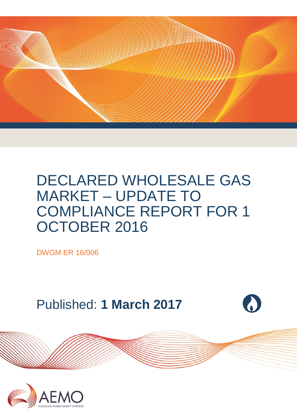

## DECLARED WHOLESALE GAS MARKET – UPDATE TO COMPLIANCE REPORT FOR 1 OCTOBER 2016

DWGM ER 16/006

Published: **1 March 2017**